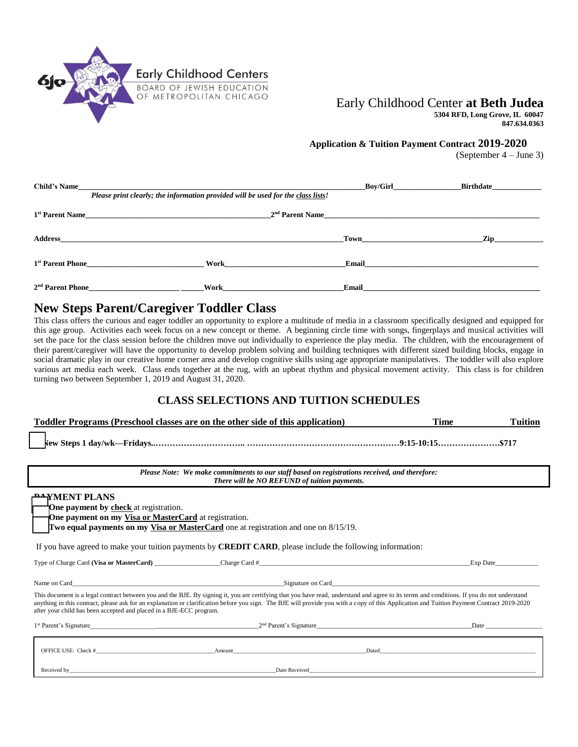

# Early Childhood Center **at Beth Judea**

**5304 RFD, Long Grove, IL 60047 847.634.0363**

#### **Application & Tuition Payment Contract 2019-2020**

(September 4 – June 3)

| <b>Child's Name</b>          | Please print clearly; the information provided will be used for the class lists! | <b>Boy/Girl</b> | <b>Birthdate</b> |
|------------------------------|----------------------------------------------------------------------------------|-----------------|------------------|
| 1 <sup>st</sup> Parent Name  | 2 <sup>nd</sup> Parent Name                                                      |                 |                  |
| <b>Address</b>               |                                                                                  | <b>Town</b>     | Zip              |
| 1 <sup>st</sup> Parent Phone | Work                                                                             | Email           |                  |
| $2nd$ Parent Phone           | Work                                                                             | Email           |                  |

## **New Steps Parent/Caregiver Toddler Class**

This class offers the curious and eager toddler an opportunity to explore a multitude of media in a classroom specifically designed and equipped for this age group. Activities each week focus on a new concept or theme. A beginning circle time with songs, fingerplays and musical activities will set the pace for the class session before the children move out individually to experience the play media. The children, with the encouragement of their parent/caregiver will have the opportunity to develop problem solving and building techniques with different sized building blocks, engage in social dramatic play in our creative home corner area and develop cognitive skills using age appropriate manipulatives. The toddler will also explore various art media each week. Class ends together at the rug, with an upbeat rhythm and physical movement activity. This class is for children turning two between September 1, 2019 and August 31, 2020.

## **CLASS SELECTIONS AND TUITION SCHEDULES**

| <b>Toddler Programs (Preschool classes are on the other side of this application)</b> | <b>Time</b> | Tuition |
|---------------------------------------------------------------------------------------|-------------|---------|
|                                                                                       |             |         |

| New Steps 1 day/wk- | k—Fridays…………………………………………………………………………………………9:15-10:15……………………………………………5717 |  |  |
|---------------------|----------------------------------------------------------------------------|--|--|
|---------------------|----------------------------------------------------------------------------|--|--|

| Please Note: We make commitments to our staff based on registrations received, and therefore: |
|-----------------------------------------------------------------------------------------------|
| There will be NO REFUND of tuition payments.                                                  |

| <b>PHYMENT PLANS</b><br><b>Tone payment by check</b> at registration.<br>The payment on my Visa or MasterCard at registration.<br>Two equal payments on my Visa or MasterCard one at registration and one on 8/15/19.                                             |        |                                                                                                                                                                                                                               |  |  |
|-------------------------------------------------------------------------------------------------------------------------------------------------------------------------------------------------------------------------------------------------------------------|--------|-------------------------------------------------------------------------------------------------------------------------------------------------------------------------------------------------------------------------------|--|--|
| If you have agreed to make your tuition payments by <b>CREDIT CARD</b> , please include the following information:                                                                                                                                                |        |                                                                                                                                                                                                                               |  |  |
|                                                                                                                                                                                                                                                                   |        | Exp Date                                                                                                                                                                                                                      |  |  |
| This document is a legal contract between you and the BJE. By signing it, you are certifying that you have read, understand and agree to its terms and conditions. If you do not understand                                                                       |        |                                                                                                                                                                                                                               |  |  |
| anything in this contract, please ask for an explanation or clarification before you sign. The BJE will provide you with a copy of this Application and Tuition Payment Contract 2019-2020<br>after your child has been accepted and placed in a BJE-ECC program. |        |                                                                                                                                                                                                                               |  |  |
| 1 <sup>st</sup> Parent's Signature 2 <sup>nd</sup> Parent's Signature 2 <sup>nd</sup> Parent's Signature                                                                                                                                                          |        | Date and the same state of the state of the state of the state of the state of the state of the state of the state of the state of the state of the state of the state of the state of the state of the state of the state of |  |  |
| OFFICE USE: Check #                                                                                                                                                                                                                                               | Amount | Dated and the contract of the contract of the contract of the contract of the contract of the contract of the contract of the contract of the contract of the contract of the contract of the contract of the contract of the |  |  |

Received by\_\_\_\_\_\_\_\_\_\_\_\_\_\_\_\_\_\_\_\_\_\_\_\_\_\_\_\_\_\_\_\_\_\_\_\_\_\_\_\_\_\_\_\_\_\_\_\_\_\_\_\_\_\_\_\_\_\_\_\_\_\_\_\_\_\_\_\_\_\_\_\_\_Date Received\_\_\_\_\_\_\_\_\_\_\_\_\_\_\_\_\_\_\_\_\_\_\_\_\_\_\_\_\_\_\_\_\_\_\_\_\_\_\_\_\_\_\_\_\_\_\_\_\_\_\_\_\_\_\_\_\_\_\_\_\_\_\_\_\_\_\_\_\_\_\_\_\_\_\_\_\_\_\_\_